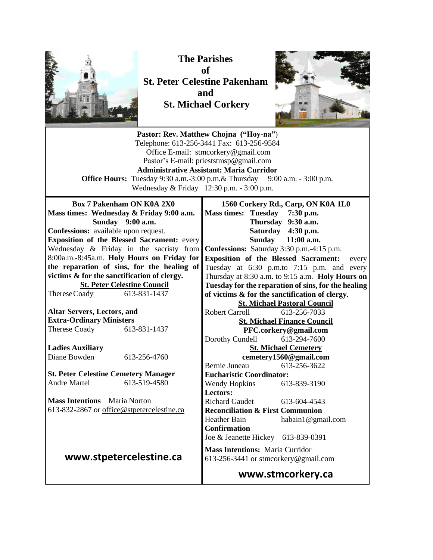

**The Parishes of St. Peter Celestine Pakenham and St. Michael Corkery**



**Pastor: Rev. Matthew Chojna ("Hoy-na"**) Telephone: 613-256-3441 Fax: 613-256-9584 Office E-mail: stmcorkery@gmail.com Pastor's E-mail: prieststmsp@gmail.com **Administrative Assistant: Maria Curridor Office Hours:** Tuesday 9:30 a.m.-3:00 p.m. & Thursday 9:00 a.m. - 3:00 p.m. Wednesday & Friday 12:30 p.m. - 3:00 p.m. **Box 7 Pakenham ON K0A 2X0 Mass times: Wednesday & Friday 9:00 a.m. Sunday 9:00 a.m. Confessions:** available upon request. **Exposition of the Blessed Sacrament:** every Wednesday & Friday in the sacristy from **Confessions:** Saturday 3:30 p.m.-4:15 p.m. 8:00a.m.-8:45a.m. **Holy Hours on Friday for the reparation of sins, for the healing of victims & for the sanctification of clergy. St. Peter Celestine Council** ThereseCoady 613-831-1437 **Altar Servers, Lectors, and Extra-Ordinary Ministers** Therese Coady 613-831-1437 **Ladies Auxiliary** Diane Bowden 613-256-4760 **St. Peter Celestine Cemetery Manager** Andre Martel 613-519-4580 **Mass Intentions** Maria Norton 613-832-2867 or [office@stpetercelestine.ca](mailto:office@stpetercelestine.ca) **www.stpetercelestine.ca 1560 Corkery Rd., Carp, ON K0A 1L0 Mass times: Tuesday 7:30 p.m. Thursday 9:30 a.m. Saturday 4:30 p.m. Sunday 11:00 a.m. Exposition of the Blessed Sacrament:** every Tuesday at 6:30 p.m.to 7:15 p.m. and every Thursday at 8:30 a.m. to 9:15 a.m. **Holy Hours on Tuesday for the reparation of sins, for the healing of victims & for the sanctification of clergy. St. Michael Pastoral Council** Robert Carroll 613-256-7033 **St. Michael Finance Council PFC.corkery@gmail.com** Dorothy Cundell 613-294-7600 **St. Michael Cemetery cemetery1560@gmail.com** Bernie Juneau 613-256-3622 **Eucharistic Coordinator:**  Wendy Hopkins 613-839-3190 **Lectors:**  Richard Gaudet [613-604-4543](tel:613-604-4543) **Reconciliation & First Communion**  Heather Bain habain1@gmail.com **Confirmation** Joe & Jeanette Hickey 613-839-0391 **Mass Intentions:** Maria Curridor 613-256-3441 or [stmcorkery@gmail.com](mailto:stmcorkery@gmail.com) **www.stmcorkery.ca**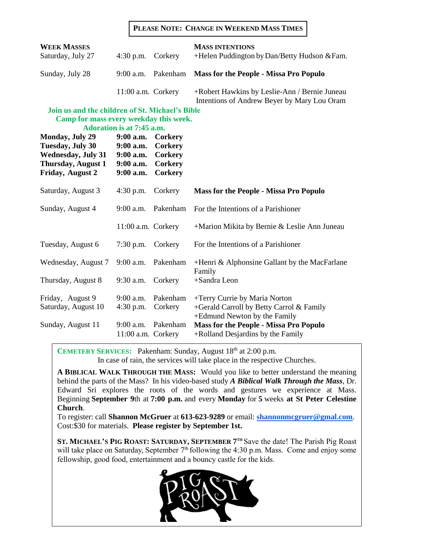#### **PLEASE NOTE: CHANGE IN WEEKEND MASS TIMES**

| <b>WEEK MASSES</b><br>Saturday, July 27                                                                                                                                                                                      | $4:30$ p.m.                                                                                          | Corkery                                                                  | <b>MASS INTENTIONS</b><br>+Helen Puddington by Dan/Betty Hudson & Fam.                                    |
|------------------------------------------------------------------------------------------------------------------------------------------------------------------------------------------------------------------------------|------------------------------------------------------------------------------------------------------|--------------------------------------------------------------------------|-----------------------------------------------------------------------------------------------------------|
| Sunday, July 28                                                                                                                                                                                                              | 9:00 a.m.                                                                                            | Pakenham                                                                 | <b>Mass for the People - Missa Pro Populo</b>                                                             |
|                                                                                                                                                                                                                              | 11:00 a.m. Corkery                                                                                   |                                                                          | +Robert Hawkins by Leslie-Ann / Bernie Juneau<br>Intentions of Andrew Beyer by Mary Lou Oram              |
| Join us and the children of St. Michael's Bible<br>Camp for mass every weekday this week.<br><b>Monday, July 29</b><br><b>Tuesday, July 30</b><br><b>Wednesday, July 31</b><br><b>Thursday, August 1</b><br>Friday, August 2 | Adoration is at 7:45 a.m.<br>$9:00$ a.m.<br>$9:00$ a.m.<br>$9:00$ a.m.<br>$9:00$ a.m.<br>$9:00$ a.m. | <b>Corkery</b><br><b>Corkery</b><br>Corkery<br><b>Corkery</b><br>Corkery |                                                                                                           |
| Saturday, August 3                                                                                                                                                                                                           | $4:30$ p.m.                                                                                          | Corkery                                                                  | <b>Mass for the People - Missa Pro Populo</b>                                                             |
| Sunday, August 4                                                                                                                                                                                                             | $9:00$ a.m.                                                                                          | Pakenham                                                                 | For the Intentions of a Parishioner                                                                       |
|                                                                                                                                                                                                                              | 11:00 a.m. Corkery                                                                                   |                                                                          | +Marion Mikita by Bernie & Leslie Ann Juneau                                                              |
| Tuesday, August 6                                                                                                                                                                                                            | $7:30$ p.m.                                                                                          | Corkery                                                                  | For the Intentions of a Parishioner                                                                       |
| Wednesday, August 7                                                                                                                                                                                                          | 9:00 a.m.                                                                                            | Pakenham                                                                 | +Henri & Alphonsine Gallant by the MacFarlane                                                             |
| Thursday, August 8                                                                                                                                                                                                           | $9:30$ a.m.                                                                                          | Corkery                                                                  | Family<br>+Sandra Leon                                                                                    |
| Friday, August 9<br>Saturday, August 10                                                                                                                                                                                      | 9:00 a.m.<br>$4:30$ p.m.                                                                             | Pakenham<br>Corkery                                                      | +Terry Currie by Maria Norton<br>+Gerald Carroll by Betty Carrol & Family<br>+Edmund Newton by the Family |
| Sunday, August 11                                                                                                                                                                                                            | $9:00$ a.m.<br>11:00 a.m. Corkery                                                                    | Pakenham                                                                 | <b>Mass for the People - Missa Pro Populo</b><br>+Rolland Desjardins by the Family                        |

**CEMETERY SERVICES:** Pakenham: Sunday, August 18<sup>th</sup> at 2:00 p.m. In case of rain, the services will take place in the respective Churches.

**A BIBLICAL WALK THROUGH THE MASS:** Would you like to better understand the meaning behind the parts of the Mass? In his video-based study *A Biblical Walk Through the Mass*, Dr. Edward Sri explores the roots of the words and gestures we experience at Mass. Beginning **September 9**th at **7:00 p.m.** and every **Monday** for **5** weeks **at St Peter Celestine Church**.

To register: call **Shannon McGruer** at **613-623-9289** or email: **[shannonmcgruer@gmal.com](mailto:shannonmcgruer@gmal.com)**. Cost:\$30 for materials. **Please register by September 1st.**

**ST. MICHAEL'S PIG ROAST: SATURDAY, SEPTEMBER 7 TH** Save the date! The Parish Pig Roast will take place on Saturday, September  $7<sup>th</sup>$  following the 4:30 p.m. Mass. Come and enjoy some fellowship, good food, entertainment and a bouncy castle for the kids.